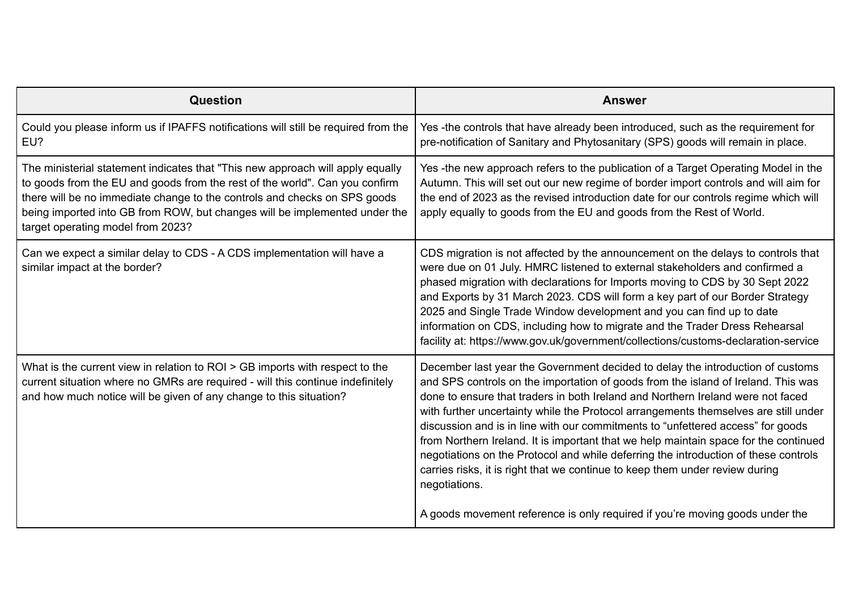| Question                                                                                                                                                                                                                                                                                                                                                      | <b>Answer</b>                                                                                                                                                                                                                                                                                                                                                                                                                                                                                                                                                                                                                                                                                                                                                                                    |
|---------------------------------------------------------------------------------------------------------------------------------------------------------------------------------------------------------------------------------------------------------------------------------------------------------------------------------------------------------------|--------------------------------------------------------------------------------------------------------------------------------------------------------------------------------------------------------------------------------------------------------------------------------------------------------------------------------------------------------------------------------------------------------------------------------------------------------------------------------------------------------------------------------------------------------------------------------------------------------------------------------------------------------------------------------------------------------------------------------------------------------------------------------------------------|
| Could you please inform us if IPAFFS notifications will still be required from the<br>EU?                                                                                                                                                                                                                                                                     | Yes -the controls that have already been introduced, such as the requirement for<br>pre-notification of Sanitary and Phytosanitary (SPS) goods will remain in place.                                                                                                                                                                                                                                                                                                                                                                                                                                                                                                                                                                                                                             |
| The ministerial statement indicates that "This new approach will apply equally<br>to goods from the EU and goods from the rest of the world". Can you confirm<br>there will be no immediate change to the controls and checks on SPS goods<br>being imported into GB from ROW, but changes will be implemented under the<br>target operating model from 2023? | Yes -the new approach refers to the publication of a Target Operating Model in the<br>Autumn. This will set out our new regime of border import controls and will aim for<br>the end of 2023 as the revised introduction date for our controls regime which will<br>apply equally to goods from the EU and goods from the Rest of World.                                                                                                                                                                                                                                                                                                                                                                                                                                                         |
| Can we expect a similar delay to CDS - A CDS implementation will have a<br>similar impact at the border?                                                                                                                                                                                                                                                      | CDS migration is not affected by the announcement on the delays to controls that<br>were due on 01 July. HMRC listened to external stakeholders and confirmed a<br>phased migration with declarations for Imports moving to CDS by 30 Sept 2022<br>and Exports by 31 March 2023. CDS will form a key part of our Border Strategy<br>2025 and Single Trade Window development and you can find up to date<br>information on CDS, including how to migrate and the Trader Dress Rehearsal<br>facility at: https://www.gov.uk/government/collections/customs-declaration-service                                                                                                                                                                                                                    |
| What is the current view in relation to ROI > GB imports with respect to the<br>current situation where no GMRs are required - will this continue indefinitely<br>and how much notice will be given of any change to this situation?                                                                                                                          | December last year the Government decided to delay the introduction of customs<br>and SPS controls on the importation of goods from the island of Ireland. This was<br>done to ensure that traders in both Ireland and Northern Ireland were not faced<br>with further uncertainty while the Protocol arrangements themselves are still under<br>discussion and is in line with our commitments to "unfettered access" for goods<br>from Northern Ireland. It is important that we help maintain space for the continued<br>negotiations on the Protocol and while deferring the introduction of these controls<br>carries risks, it is right that we continue to keep them under review during<br>negotiations.<br>A goods movement reference is only required if you're moving goods under the |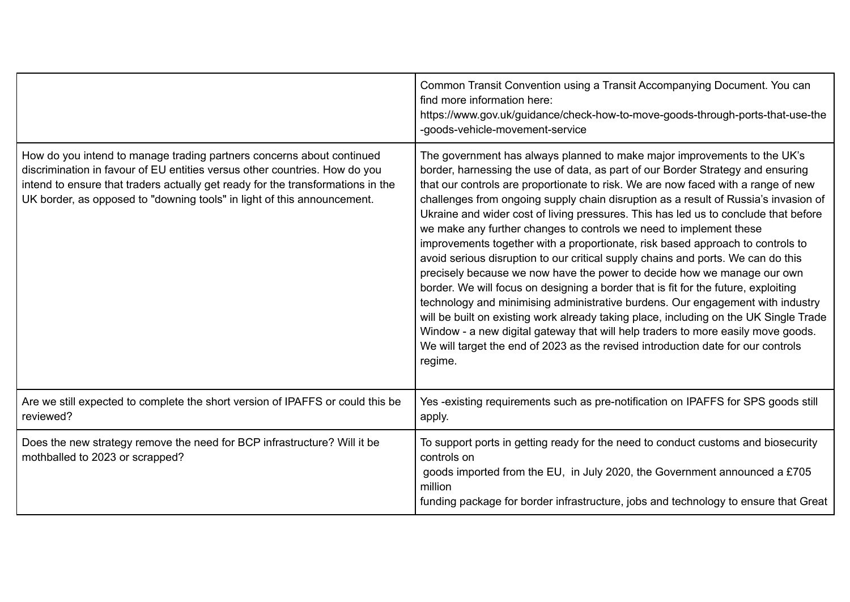|                                                                                                                                                                                                                                                                                                                   | Common Transit Convention using a Transit Accompanying Document. You can<br>find more information here:<br>https://www.gov.uk/guidance/check-how-to-move-goods-through-ports-that-use-the<br>-goods-vehicle-movement-service                                                                                                                                                                                                                                                                                                                                                                                                                                                                                                                                                                                                                                                                                                                                                                                                                                                                                                                                                                              |
|-------------------------------------------------------------------------------------------------------------------------------------------------------------------------------------------------------------------------------------------------------------------------------------------------------------------|-----------------------------------------------------------------------------------------------------------------------------------------------------------------------------------------------------------------------------------------------------------------------------------------------------------------------------------------------------------------------------------------------------------------------------------------------------------------------------------------------------------------------------------------------------------------------------------------------------------------------------------------------------------------------------------------------------------------------------------------------------------------------------------------------------------------------------------------------------------------------------------------------------------------------------------------------------------------------------------------------------------------------------------------------------------------------------------------------------------------------------------------------------------------------------------------------------------|
| How do you intend to manage trading partners concerns about continued<br>discrimination in favour of EU entities versus other countries. How do you<br>intend to ensure that traders actually get ready for the transformations in the<br>UK border, as opposed to "downing tools" in light of this announcement. | The government has always planned to make major improvements to the UK's<br>border, harnessing the use of data, as part of our Border Strategy and ensuring<br>that our controls are proportionate to risk. We are now faced with a range of new<br>challenges from ongoing supply chain disruption as a result of Russia's invasion of<br>Ukraine and wider cost of living pressures. This has led us to conclude that before<br>we make any further changes to controls we need to implement these<br>improvements together with a proportionate, risk based approach to controls to<br>avoid serious disruption to our critical supply chains and ports. We can do this<br>precisely because we now have the power to decide how we manage our own<br>border. We will focus on designing a border that is fit for the future, exploiting<br>technology and minimising administrative burdens. Our engagement with industry<br>will be built on existing work already taking place, including on the UK Single Trade<br>Window - a new digital gateway that will help traders to more easily move goods.<br>We will target the end of 2023 as the revised introduction date for our controls<br>regime. |
| Are we still expected to complete the short version of IPAFFS or could this be<br>reviewed?                                                                                                                                                                                                                       | Yes -existing requirements such as pre-notification on IPAFFS for SPS goods still<br>apply.                                                                                                                                                                                                                                                                                                                                                                                                                                                                                                                                                                                                                                                                                                                                                                                                                                                                                                                                                                                                                                                                                                               |
| Does the new strategy remove the need for BCP infrastructure? Will it be<br>mothballed to 2023 or scrapped?                                                                                                                                                                                                       | To support ports in getting ready for the need to conduct customs and biosecurity<br>controls on<br>goods imported from the EU, in July 2020, the Government announced a £705<br>million<br>funding package for border infrastructure, jobs and technology to ensure that Great                                                                                                                                                                                                                                                                                                                                                                                                                                                                                                                                                                                                                                                                                                                                                                                                                                                                                                                           |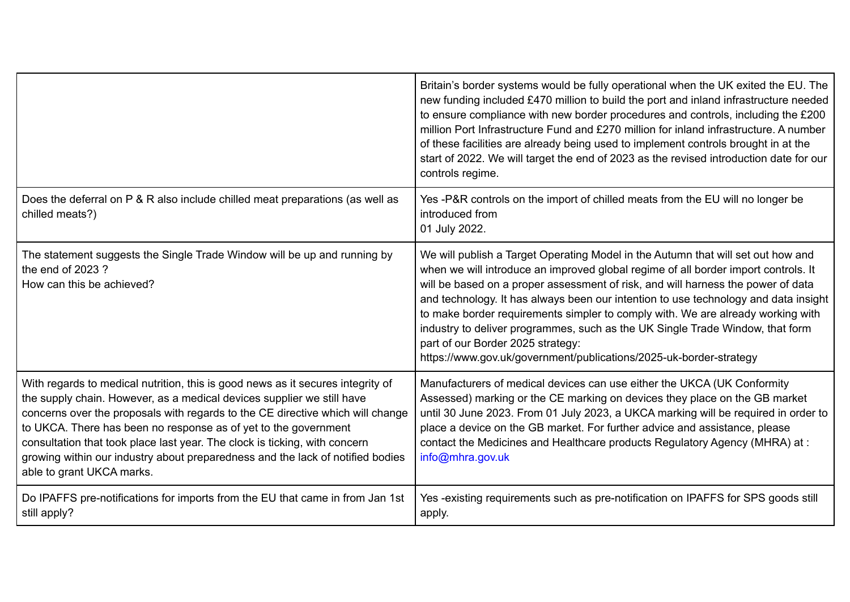|                                                                                                                                                                                                                                                                                                                                                                                                                                                                                                             | Britain's border systems would be fully operational when the UK exited the EU. The<br>new funding included £470 million to build the port and inland infrastructure needed<br>to ensure compliance with new border procedures and controls, including the £200<br>million Port Infrastructure Fund and £270 million for inland infrastructure. A number<br>of these facilities are already being used to implement controls brought in at the<br>start of 2022. We will target the end of 2023 as the revised introduction date for our<br>controls regime.                                                                      |
|-------------------------------------------------------------------------------------------------------------------------------------------------------------------------------------------------------------------------------------------------------------------------------------------------------------------------------------------------------------------------------------------------------------------------------------------------------------------------------------------------------------|----------------------------------------------------------------------------------------------------------------------------------------------------------------------------------------------------------------------------------------------------------------------------------------------------------------------------------------------------------------------------------------------------------------------------------------------------------------------------------------------------------------------------------------------------------------------------------------------------------------------------------|
| Does the deferral on P & R also include chilled meat preparations (as well as<br>chilled meats?)                                                                                                                                                                                                                                                                                                                                                                                                            | Yes -P&R controls on the import of chilled meats from the EU will no longer be<br>introduced from<br>01 July 2022.                                                                                                                                                                                                                                                                                                                                                                                                                                                                                                               |
| The statement suggests the Single Trade Window will be up and running by<br>the end of 2023?<br>How can this be achieved?                                                                                                                                                                                                                                                                                                                                                                                   | We will publish a Target Operating Model in the Autumn that will set out how and<br>when we will introduce an improved global regime of all border import controls. It<br>will be based on a proper assessment of risk, and will harness the power of data<br>and technology. It has always been our intention to use technology and data insight<br>to make border requirements simpler to comply with. We are already working with<br>industry to deliver programmes, such as the UK Single Trade Window, that form<br>part of our Border 2025 strategy:<br>https://www.gov.uk/government/publications/2025-uk-border-strategy |
| With regards to medical nutrition, this is good news as it secures integrity of<br>the supply chain. However, as a medical devices supplier we still have<br>concerns over the proposals with regards to the CE directive which will change<br>to UKCA. There has been no response as of yet to the government<br>consultation that took place last year. The clock is ticking, with concern<br>growing within our industry about preparedness and the lack of notified bodies<br>able to grant UKCA marks. | Manufacturers of medical devices can use either the UKCA (UK Conformity<br>Assessed) marking or the CE marking on devices they place on the GB market<br>until 30 June 2023. From 01 July 2023, a UKCA marking will be required in order to<br>place a device on the GB market. For further advice and assistance, please<br>contact the Medicines and Healthcare products Regulatory Agency (MHRA) at:<br>info@mhra.gov.uk                                                                                                                                                                                                      |
| Do IPAFFS pre-notifications for imports from the EU that came in from Jan 1st<br>still apply?                                                                                                                                                                                                                                                                                                                                                                                                               | Yes -existing requirements such as pre-notification on IPAFFS for SPS goods still<br>apply.                                                                                                                                                                                                                                                                                                                                                                                                                                                                                                                                      |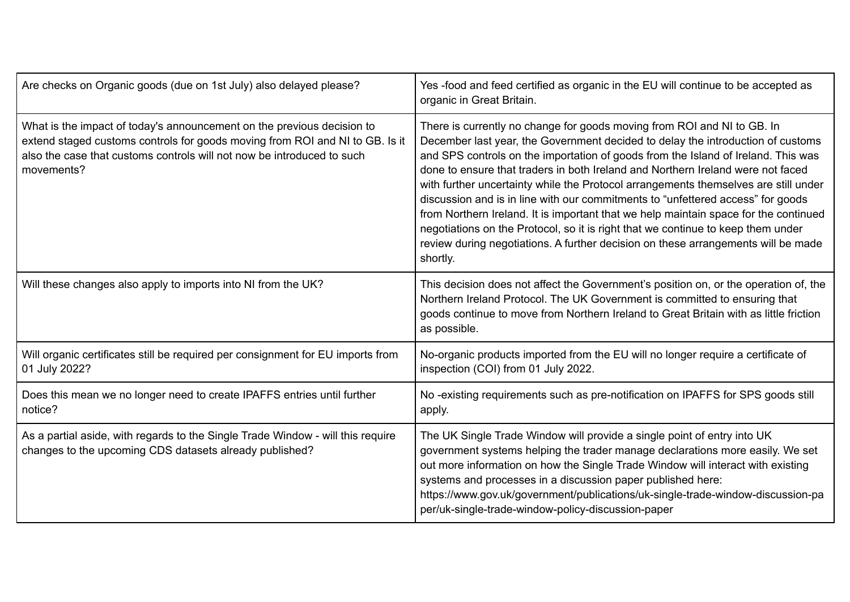| Are checks on Organic goods (due on 1st July) also delayed please?                                                                                                                                                                             | Yes -food and feed certified as organic in the EU will continue to be accepted as<br>organic in Great Britain.                                                                                                                                                                                                                                                                                                                                                                                                                                                                                                                                                                                                                                                                            |
|------------------------------------------------------------------------------------------------------------------------------------------------------------------------------------------------------------------------------------------------|-------------------------------------------------------------------------------------------------------------------------------------------------------------------------------------------------------------------------------------------------------------------------------------------------------------------------------------------------------------------------------------------------------------------------------------------------------------------------------------------------------------------------------------------------------------------------------------------------------------------------------------------------------------------------------------------------------------------------------------------------------------------------------------------|
| What is the impact of today's announcement on the previous decision to<br>extend staged customs controls for goods moving from ROI and NI to GB. Is it<br>also the case that customs controls will not now be introduced to such<br>movements? | There is currently no change for goods moving from ROI and NI to GB. In<br>December last year, the Government decided to delay the introduction of customs<br>and SPS controls on the importation of goods from the Island of Ireland. This was<br>done to ensure that traders in both Ireland and Northern Ireland were not faced<br>with further uncertainty while the Protocol arrangements themselves are still under<br>discussion and is in line with our commitments to "unfettered access" for goods<br>from Northern Ireland. It is important that we help maintain space for the continued<br>negotiations on the Protocol, so it is right that we continue to keep them under<br>review during negotiations. A further decision on these arrangements will be made<br>shortly. |
| Will these changes also apply to imports into NI from the UK?                                                                                                                                                                                  | This decision does not affect the Government's position on, or the operation of, the<br>Northern Ireland Protocol. The UK Government is committed to ensuring that<br>goods continue to move from Northern Ireland to Great Britain with as little friction<br>as possible.                                                                                                                                                                                                                                                                                                                                                                                                                                                                                                               |
| Will organic certificates still be required per consignment for EU imports from<br>01 July 2022?                                                                                                                                               | No-organic products imported from the EU will no longer require a certificate of<br>inspection (COI) from 01 July 2022.                                                                                                                                                                                                                                                                                                                                                                                                                                                                                                                                                                                                                                                                   |
| Does this mean we no longer need to create IPAFFS entries until further<br>notice?                                                                                                                                                             | No -existing requirements such as pre-notification on IPAFFS for SPS goods still<br>apply.                                                                                                                                                                                                                                                                                                                                                                                                                                                                                                                                                                                                                                                                                                |
| As a partial aside, with regards to the Single Trade Window - will this require<br>changes to the upcoming CDS datasets already published?                                                                                                     | The UK Single Trade Window will provide a single point of entry into UK<br>government systems helping the trader manage declarations more easily. We set<br>out more information on how the Single Trade Window will interact with existing<br>systems and processes in a discussion paper published here:<br>https://www.gov.uk/government/publications/uk-single-trade-window-discussion-pa<br>per/uk-single-trade-window-policy-discussion-paper                                                                                                                                                                                                                                                                                                                                       |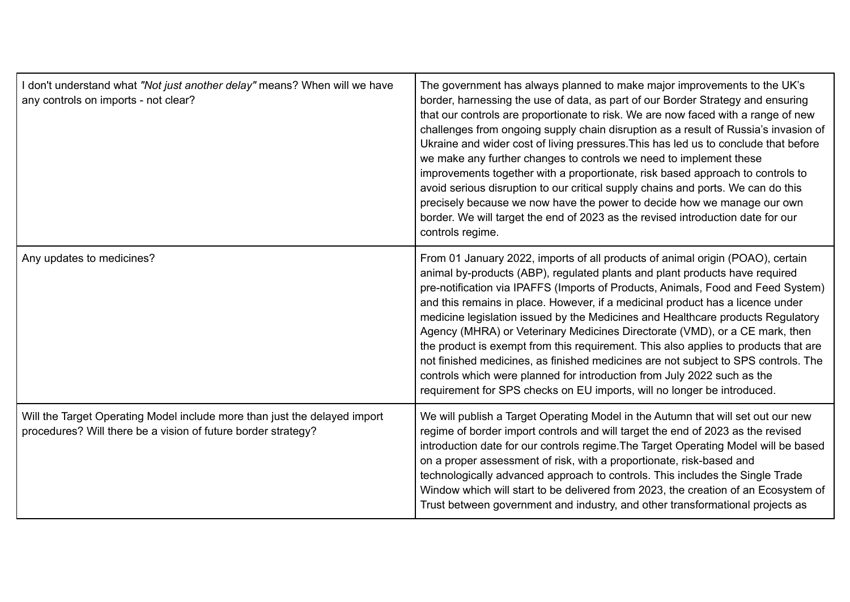| I don't understand what "Not just another delay" means? When will we have<br>any controls on imports - not clear?                          | The government has always planned to make major improvements to the UK's<br>border, harnessing the use of data, as part of our Border Strategy and ensuring<br>that our controls are proportionate to risk. We are now faced with a range of new<br>challenges from ongoing supply chain disruption as a result of Russia's invasion of<br>Ukraine and wider cost of living pressures. This has led us to conclude that before<br>we make any further changes to controls we need to implement these<br>improvements together with a proportionate, risk based approach to controls to<br>avoid serious disruption to our critical supply chains and ports. We can do this<br>precisely because we now have the power to decide how we manage our own<br>border. We will target the end of 2023 as the revised introduction date for our<br>controls regime. |
|--------------------------------------------------------------------------------------------------------------------------------------------|--------------------------------------------------------------------------------------------------------------------------------------------------------------------------------------------------------------------------------------------------------------------------------------------------------------------------------------------------------------------------------------------------------------------------------------------------------------------------------------------------------------------------------------------------------------------------------------------------------------------------------------------------------------------------------------------------------------------------------------------------------------------------------------------------------------------------------------------------------------|
| Any updates to medicines?                                                                                                                  | From 01 January 2022, imports of all products of animal origin (POAO), certain<br>animal by-products (ABP), regulated plants and plant products have required<br>pre-notification via IPAFFS (Imports of Products, Animals, Food and Feed System)<br>and this remains in place. However, if a medicinal product has a licence under<br>medicine legislation issued by the Medicines and Healthcare products Regulatory<br>Agency (MHRA) or Veterinary Medicines Directorate (VMD), or a CE mark, then<br>the product is exempt from this requirement. This also applies to products that are<br>not finished medicines, as finished medicines are not subject to SPS controls. The<br>controls which were planned for introduction from July 2022 such as the<br>requirement for SPS checks on EU imports, will no longer be introduced.                     |
| Will the Target Operating Model include more than just the delayed import<br>procedures? Will there be a vision of future border strategy? | We will publish a Target Operating Model in the Autumn that will set out our new<br>regime of border import controls and will target the end of 2023 as the revised<br>introduction date for our controls regime. The Target Operating Model will be based<br>on a proper assessment of risk, with a proportionate, risk-based and<br>technologically advanced approach to controls. This includes the Single Trade<br>Window which will start to be delivered from 2023, the creation of an Ecosystem of<br>Trust between government and industry, and other transformational projects as                                                                                                                                                                                                                                                                   |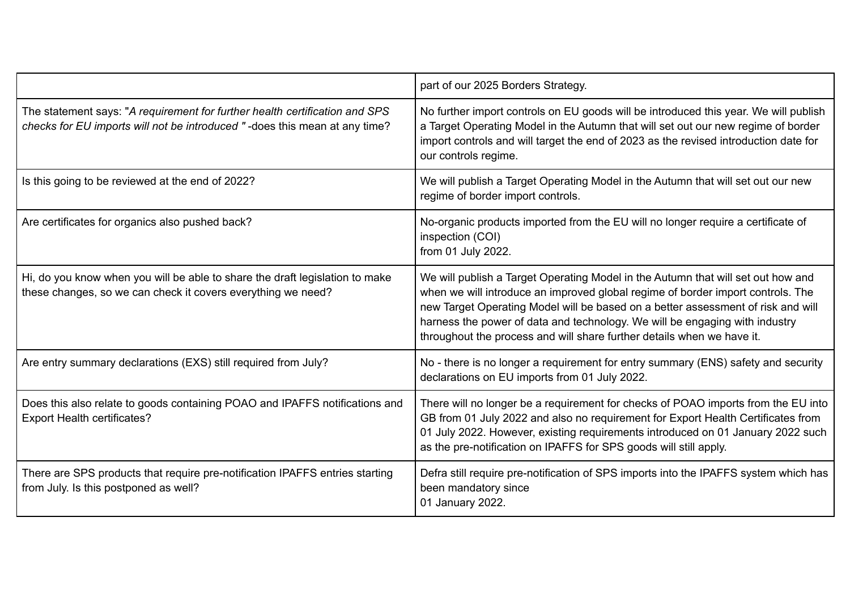|                                                                                                                                                           | part of our 2025 Borders Strategy.                                                                                                                                                                                                                                                                                                                                                                               |
|-----------------------------------------------------------------------------------------------------------------------------------------------------------|------------------------------------------------------------------------------------------------------------------------------------------------------------------------------------------------------------------------------------------------------------------------------------------------------------------------------------------------------------------------------------------------------------------|
| The statement says: "A requirement for further health certification and SPS<br>checks for EU imports will not be introduced "-does this mean at any time? | No further import controls on EU goods will be introduced this year. We will publish<br>a Target Operating Model in the Autumn that will set out our new regime of border<br>import controls and will target the end of 2023 as the revised introduction date for<br>our controls regime.                                                                                                                        |
| Is this going to be reviewed at the end of 2022?                                                                                                          | We will publish a Target Operating Model in the Autumn that will set out our new<br>regime of border import controls.                                                                                                                                                                                                                                                                                            |
| Are certificates for organics also pushed back?                                                                                                           | No-organic products imported from the EU will no longer require a certificate of<br>inspection (COI)<br>from 01 July 2022.                                                                                                                                                                                                                                                                                       |
| Hi, do you know when you will be able to share the draft legislation to make<br>these changes, so we can check it covers everything we need?              | We will publish a Target Operating Model in the Autumn that will set out how and<br>when we will introduce an improved global regime of border import controls. The<br>new Target Operating Model will be based on a better assessment of risk and will<br>harness the power of data and technology. We will be engaging with industry<br>throughout the process and will share further details when we have it. |
| Are entry summary declarations (EXS) still required from July?                                                                                            | No - there is no longer a requirement for entry summary (ENS) safety and security<br>declarations on EU imports from 01 July 2022.                                                                                                                                                                                                                                                                               |
| Does this also relate to goods containing POAO and IPAFFS notifications and<br><b>Export Health certificates?</b>                                         | There will no longer be a requirement for checks of POAO imports from the EU into<br>GB from 01 July 2022 and also no requirement for Export Health Certificates from<br>01 July 2022. However, existing requirements introduced on 01 January 2022 such<br>as the pre-notification on IPAFFS for SPS goods will still apply.                                                                                    |
| There are SPS products that require pre-notification IPAFFS entries starting<br>from July. Is this postponed as well?                                     | Defra still require pre-notification of SPS imports into the IPAFFS system which has<br>been mandatory since<br>01 January 2022.                                                                                                                                                                                                                                                                                 |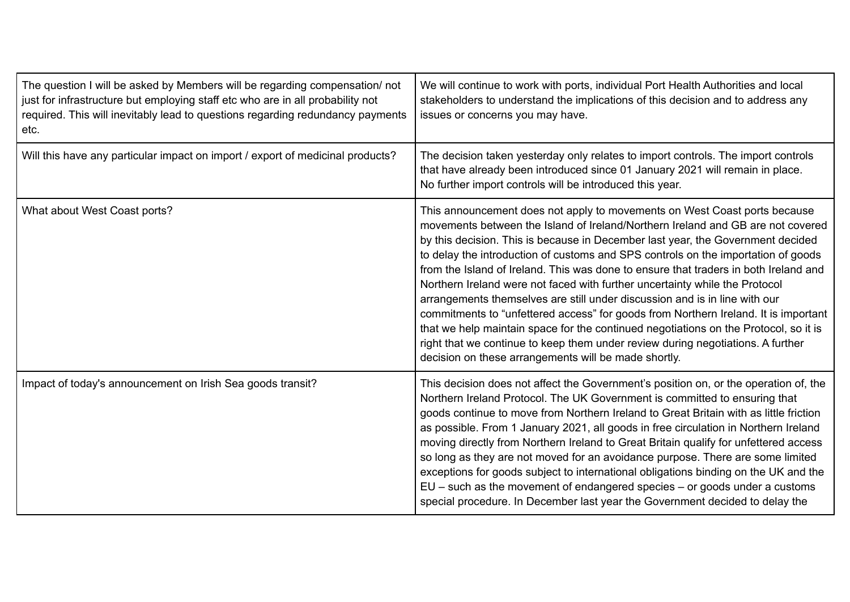| The question I will be asked by Members will be regarding compensation/ not<br>just for infrastructure but employing staff etc who are in all probability not<br>required. This will inevitably lead to questions regarding redundancy payments<br>etc. | We will continue to work with ports, individual Port Health Authorities and local<br>stakeholders to understand the implications of this decision and to address any<br>issues or concerns you may have.                                                                                                                                                                                                                                                                                                                                                                                                                                                                                                                                                                                                                                                                                                            |
|---------------------------------------------------------------------------------------------------------------------------------------------------------------------------------------------------------------------------------------------------------|---------------------------------------------------------------------------------------------------------------------------------------------------------------------------------------------------------------------------------------------------------------------------------------------------------------------------------------------------------------------------------------------------------------------------------------------------------------------------------------------------------------------------------------------------------------------------------------------------------------------------------------------------------------------------------------------------------------------------------------------------------------------------------------------------------------------------------------------------------------------------------------------------------------------|
| Will this have any particular impact on import / export of medicinal products?                                                                                                                                                                          | The decision taken yesterday only relates to import controls. The import controls<br>that have already been introduced since 01 January 2021 will remain in place.<br>No further import controls will be introduced this year.                                                                                                                                                                                                                                                                                                                                                                                                                                                                                                                                                                                                                                                                                      |
| What about West Coast ports?                                                                                                                                                                                                                            | This announcement does not apply to movements on West Coast ports because<br>movements between the Island of Ireland/Northern Ireland and GB are not covered<br>by this decision. This is because in December last year, the Government decided<br>to delay the introduction of customs and SPS controls on the importation of goods<br>from the Island of Ireland. This was done to ensure that traders in both Ireland and<br>Northern Ireland were not faced with further uncertainty while the Protocol<br>arrangements themselves are still under discussion and is in line with our<br>commitments to "unfettered access" for goods from Northern Ireland. It is important<br>that we help maintain space for the continued negotiations on the Protocol, so it is<br>right that we continue to keep them under review during negotiations. A further<br>decision on these arrangements will be made shortly. |
| Impact of today's announcement on Irish Sea goods transit?                                                                                                                                                                                              | This decision does not affect the Government's position on, or the operation of, the<br>Northern Ireland Protocol. The UK Government is committed to ensuring that<br>goods continue to move from Northern Ireland to Great Britain with as little friction<br>as possible. From 1 January 2021, all goods in free circulation in Northern Ireland<br>moving directly from Northern Ireland to Great Britain qualify for unfettered access<br>so long as they are not moved for an avoidance purpose. There are some limited<br>exceptions for goods subject to international obligations binding on the UK and the<br>$EU$ – such as the movement of endangered species – or goods under a customs<br>special procedure. In December last year the Government decided to delay the                                                                                                                                 |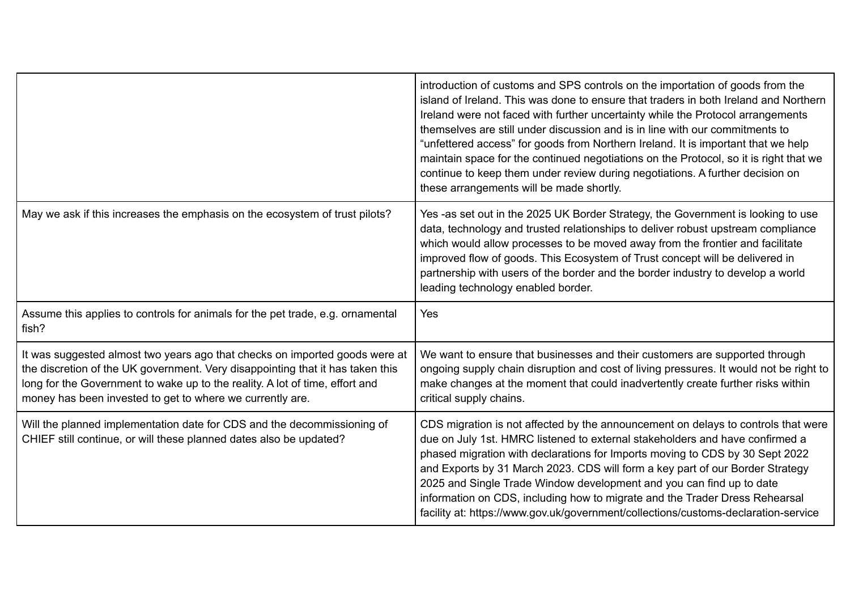|                                                                                                                                                                                                                                                                                                            | introduction of customs and SPS controls on the importation of goods from the<br>island of Ireland. This was done to ensure that traders in both Ireland and Northern<br>Ireland were not faced with further uncertainty while the Protocol arrangements<br>themselves are still under discussion and is in line with our commitments to<br>"unfettered access" for goods from Northern Ireland. It is important that we help<br>maintain space for the continued negotiations on the Protocol, so it is right that we<br>continue to keep them under review during negotiations. A further decision on<br>these arrangements will be made shortly. |
|------------------------------------------------------------------------------------------------------------------------------------------------------------------------------------------------------------------------------------------------------------------------------------------------------------|-----------------------------------------------------------------------------------------------------------------------------------------------------------------------------------------------------------------------------------------------------------------------------------------------------------------------------------------------------------------------------------------------------------------------------------------------------------------------------------------------------------------------------------------------------------------------------------------------------------------------------------------------------|
| May we ask if this increases the emphasis on the ecosystem of trust pilots?                                                                                                                                                                                                                                | Yes -as set out in the 2025 UK Border Strategy, the Government is looking to use<br>data, technology and trusted relationships to deliver robust upstream compliance<br>which would allow processes to be moved away from the frontier and facilitate<br>improved flow of goods. This Ecosystem of Trust concept will be delivered in<br>partnership with users of the border and the border industry to develop a world<br>leading technology enabled border.                                                                                                                                                                                      |
| Assume this applies to controls for animals for the pet trade, e.g. ornamental<br>fish?                                                                                                                                                                                                                    | Yes                                                                                                                                                                                                                                                                                                                                                                                                                                                                                                                                                                                                                                                 |
| It was suggested almost two years ago that checks on imported goods were at<br>the discretion of the UK government. Very disappointing that it has taken this<br>long for the Government to wake up to the reality. A lot of time, effort and<br>money has been invested to get to where we currently are. | We want to ensure that businesses and their customers are supported through<br>ongoing supply chain disruption and cost of living pressures. It would not be right to<br>make changes at the moment that could inadvertently create further risks within<br>critical supply chains.                                                                                                                                                                                                                                                                                                                                                                 |
| Will the planned implementation date for CDS and the decommissioning of<br>CHIEF still continue, or will these planned dates also be updated?                                                                                                                                                              | CDS migration is not affected by the announcement on delays to controls that were<br>due on July 1st. HMRC listened to external stakeholders and have confirmed a<br>phased migration with declarations for Imports moving to CDS by 30 Sept 2022<br>and Exports by 31 March 2023. CDS will form a key part of our Border Strategy<br>2025 and Single Trade Window development and you can find up to date<br>information on CDS, including how to migrate and the Trader Dress Rehearsal<br>facility at: https://www.gov.uk/government/collections/customs-declaration-service                                                                     |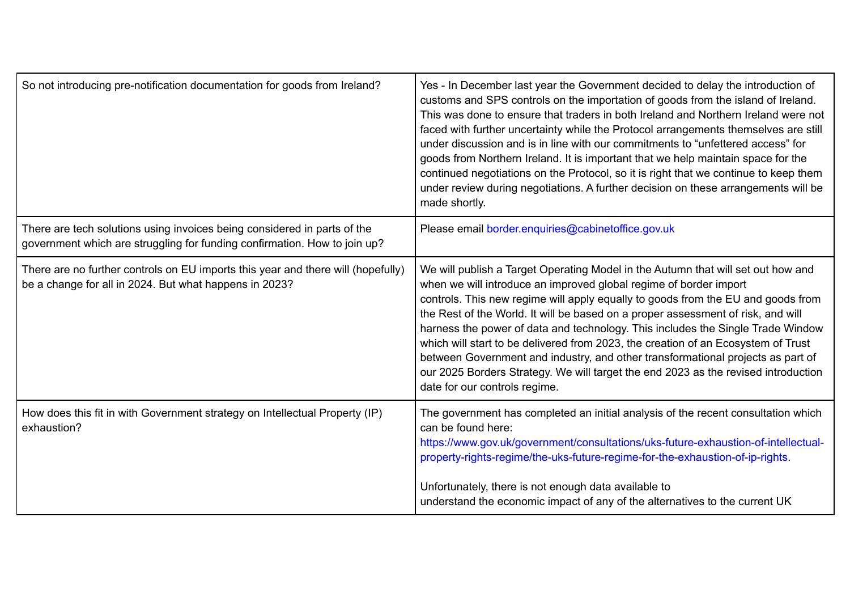| So not introducing pre-notification documentation for goods from Ireland?                                                                             | Yes - In December last year the Government decided to delay the introduction of<br>customs and SPS controls on the importation of goods from the island of Ireland.<br>This was done to ensure that traders in both Ireland and Northern Ireland were not<br>faced with further uncertainty while the Protocol arrangements themselves are still<br>under discussion and is in line with our commitments to "unfettered access" for<br>goods from Northern Ireland. It is important that we help maintain space for the<br>continued negotiations on the Protocol, so it is right that we continue to keep them<br>under review during negotiations. A further decision on these arrangements will be<br>made shortly. |
|-------------------------------------------------------------------------------------------------------------------------------------------------------|------------------------------------------------------------------------------------------------------------------------------------------------------------------------------------------------------------------------------------------------------------------------------------------------------------------------------------------------------------------------------------------------------------------------------------------------------------------------------------------------------------------------------------------------------------------------------------------------------------------------------------------------------------------------------------------------------------------------|
| There are tech solutions using invoices being considered in parts of the<br>government which are struggling for funding confirmation. How to join up? | Please email border.enquiries@cabinetoffice.gov.uk                                                                                                                                                                                                                                                                                                                                                                                                                                                                                                                                                                                                                                                                     |
| There are no further controls on EU imports this year and there will (hopefully)<br>be a change for all in 2024. But what happens in 2023?            | We will publish a Target Operating Model in the Autumn that will set out how and<br>when we will introduce an improved global regime of border import<br>controls. This new regime will apply equally to goods from the EU and goods from<br>the Rest of the World. It will be based on a proper assessment of risk, and will<br>harness the power of data and technology. This includes the Single Trade Window<br>which will start to be delivered from 2023, the creation of an Ecosystem of Trust<br>between Government and industry, and other transformational projects as part of<br>our 2025 Borders Strategy. We will target the end 2023 as the revised introduction<br>date for our controls regime.        |
| How does this fit in with Government strategy on Intellectual Property (IP)<br>exhaustion?                                                            | The government has completed an initial analysis of the recent consultation which<br>can be found here:<br>https://www.gov.uk/government/consultations/uks-future-exhaustion-of-intellectual-<br>property-rights-regime/the-uks-future-regime-for-the-exhaustion-of-ip-rights.<br>Unfortunately, there is not enough data available to<br>understand the economic impact of any of the alternatives to the current UK                                                                                                                                                                                                                                                                                                  |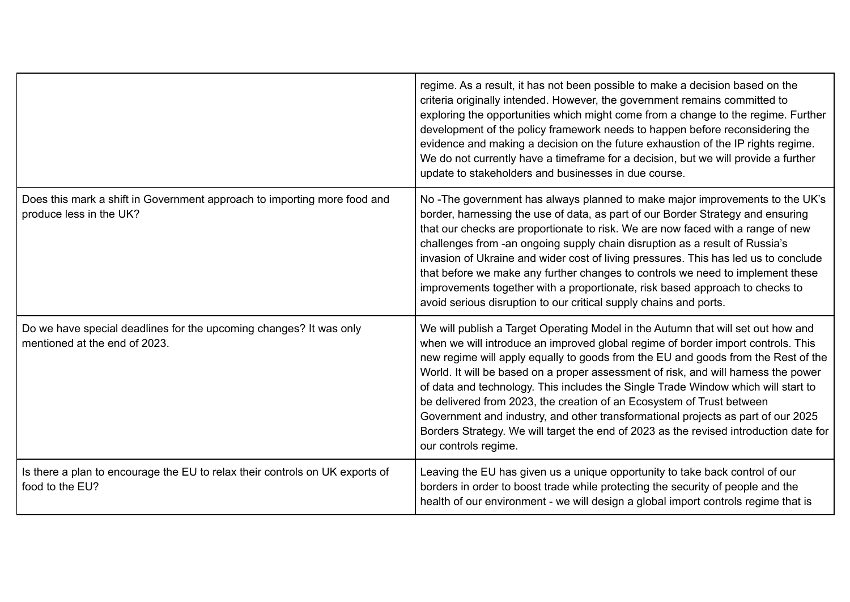|                                                                                                     | regime. As a result, it has not been possible to make a decision based on the<br>criteria originally intended. However, the government remains committed to<br>exploring the opportunities which might come from a change to the regime. Further<br>development of the policy framework needs to happen before reconsidering the<br>evidence and making a decision on the future exhaustion of the IP rights regime.<br>We do not currently have a timeframe for a decision, but we will provide a further<br>update to stakeholders and businesses in due course.                                                                                                                                                 |
|-----------------------------------------------------------------------------------------------------|--------------------------------------------------------------------------------------------------------------------------------------------------------------------------------------------------------------------------------------------------------------------------------------------------------------------------------------------------------------------------------------------------------------------------------------------------------------------------------------------------------------------------------------------------------------------------------------------------------------------------------------------------------------------------------------------------------------------|
| Does this mark a shift in Government approach to importing more food and<br>produce less in the UK? | No -The government has always planned to make major improvements to the UK's<br>border, harnessing the use of data, as part of our Border Strategy and ensuring<br>that our checks are proportionate to risk. We are now faced with a range of new<br>challenges from -an ongoing supply chain disruption as a result of Russia's<br>invasion of Ukraine and wider cost of living pressures. This has led us to conclude<br>that before we make any further changes to controls we need to implement these<br>improvements together with a proportionate, risk based approach to checks to<br>avoid serious disruption to our critical supply chains and ports.                                                    |
| Do we have special deadlines for the upcoming changes? It was only<br>mentioned at the end of 2023. | We will publish a Target Operating Model in the Autumn that will set out how and<br>when we will introduce an improved global regime of border import controls. This<br>new regime will apply equally to goods from the EU and goods from the Rest of the<br>World. It will be based on a proper assessment of risk, and will harness the power<br>of data and technology. This includes the Single Trade Window which will start to<br>be delivered from 2023, the creation of an Ecosystem of Trust between<br>Government and industry, and other transformational projects as part of our 2025<br>Borders Strategy. We will target the end of 2023 as the revised introduction date for<br>our controls regime. |
| Is there a plan to encourage the EU to relax their controls on UK exports of<br>food to the EU?     | Leaving the EU has given us a unique opportunity to take back control of our<br>borders in order to boost trade while protecting the security of people and the<br>health of our environment - we will design a global import controls regime that is                                                                                                                                                                                                                                                                                                                                                                                                                                                              |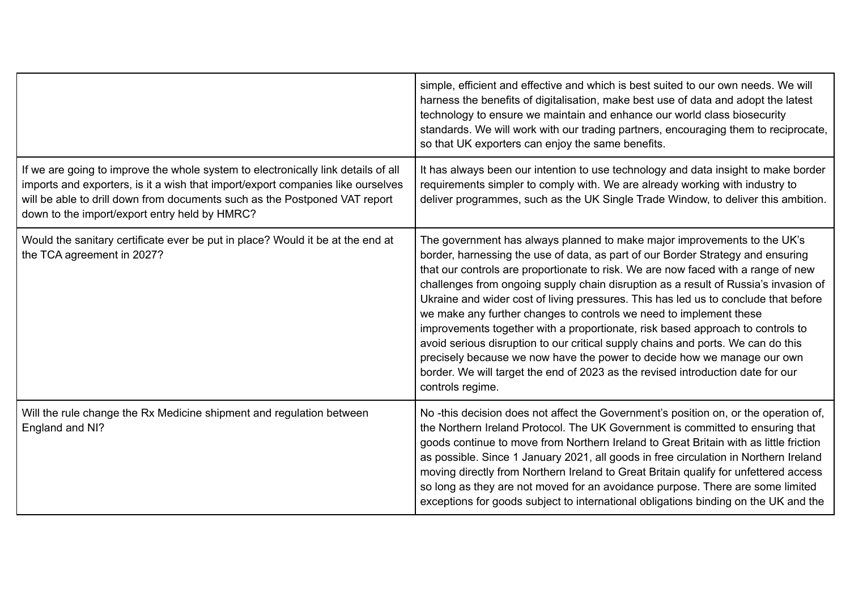|                                                                                                                                                                                                                                                                                                     | simple, efficient and effective and which is best suited to our own needs. We will<br>harness the benefits of digitalisation, make best use of data and adopt the latest<br>technology to ensure we maintain and enhance our world class biosecurity<br>standards. We will work with our trading partners, encouraging them to reciprocate,<br>so that UK exporters can enjoy the same benefits.                                                                                                                                                                                                                                                                                                                                                                                                                                                             |
|-----------------------------------------------------------------------------------------------------------------------------------------------------------------------------------------------------------------------------------------------------------------------------------------------------|--------------------------------------------------------------------------------------------------------------------------------------------------------------------------------------------------------------------------------------------------------------------------------------------------------------------------------------------------------------------------------------------------------------------------------------------------------------------------------------------------------------------------------------------------------------------------------------------------------------------------------------------------------------------------------------------------------------------------------------------------------------------------------------------------------------------------------------------------------------|
| If we are going to improve the whole system to electronically link details of all<br>imports and exporters, is it a wish that import/export companies like ourselves<br>will be able to drill down from documents such as the Postponed VAT report<br>down to the import/export entry held by HMRC? | It has always been our intention to use technology and data insight to make border<br>requirements simpler to comply with. We are already working with industry to<br>deliver programmes, such as the UK Single Trade Window, to deliver this ambition.                                                                                                                                                                                                                                                                                                                                                                                                                                                                                                                                                                                                      |
| Would the sanitary certificate ever be put in place? Would it be at the end at<br>the TCA agreement in 2027?                                                                                                                                                                                        | The government has always planned to make major improvements to the UK's<br>border, harnessing the use of data, as part of our Border Strategy and ensuring<br>that our controls are proportionate to risk. We are now faced with a range of new<br>challenges from ongoing supply chain disruption as a result of Russia's invasion of<br>Ukraine and wider cost of living pressures. This has led us to conclude that before<br>we make any further changes to controls we need to implement these<br>improvements together with a proportionate, risk based approach to controls to<br>avoid serious disruption to our critical supply chains and ports. We can do this<br>precisely because we now have the power to decide how we manage our own<br>border. We will target the end of 2023 as the revised introduction date for our<br>controls regime. |
| Will the rule change the Rx Medicine shipment and regulation between<br>England and NI?                                                                                                                                                                                                             | No -this decision does not affect the Government's position on, or the operation of,<br>the Northern Ireland Protocol. The UK Government is committed to ensuring that<br>goods continue to move from Northern Ireland to Great Britain with as little friction<br>as possible. Since 1 January 2021, all goods in free circulation in Northern Ireland<br>moving directly from Northern Ireland to Great Britain qualify for unfettered access<br>so long as they are not moved for an avoidance purpose. There are some limited<br>exceptions for goods subject to international obligations binding on the UK and the                                                                                                                                                                                                                                     |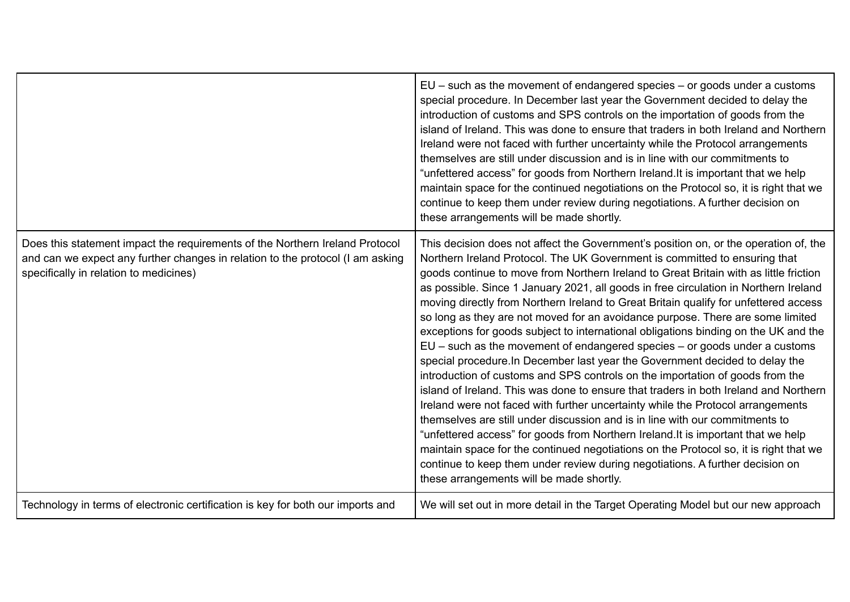|                                                                                                                                                                                                          | $EU$ – such as the movement of endangered species – or goods under a customs<br>special procedure. In December last year the Government decided to delay the<br>introduction of customs and SPS controls on the importation of goods from the<br>island of Ireland. This was done to ensure that traders in both Ireland and Northern<br>Ireland were not faced with further uncertainty while the Protocol arrangements<br>themselves are still under discussion and is in line with our commitments to<br>"unfettered access" for goods from Northern Ireland. It is important that we help<br>maintain space for the continued negotiations on the Protocol so, it is right that we<br>continue to keep them under review during negotiations. A further decision on<br>these arrangements will be made shortly.                                                                                                                                                                                                                                                                                                                                                                                                                                                                                                                                                                                                                         |
|----------------------------------------------------------------------------------------------------------------------------------------------------------------------------------------------------------|---------------------------------------------------------------------------------------------------------------------------------------------------------------------------------------------------------------------------------------------------------------------------------------------------------------------------------------------------------------------------------------------------------------------------------------------------------------------------------------------------------------------------------------------------------------------------------------------------------------------------------------------------------------------------------------------------------------------------------------------------------------------------------------------------------------------------------------------------------------------------------------------------------------------------------------------------------------------------------------------------------------------------------------------------------------------------------------------------------------------------------------------------------------------------------------------------------------------------------------------------------------------------------------------------------------------------------------------------------------------------------------------------------------------------------------------|
| Does this statement impact the requirements of the Northern Ireland Protocol<br>and can we expect any further changes in relation to the protocol (I am asking<br>specifically in relation to medicines) | This decision does not affect the Government's position on, or the operation of, the<br>Northern Ireland Protocol. The UK Government is committed to ensuring that<br>goods continue to move from Northern Ireland to Great Britain with as little friction<br>as possible. Since 1 January 2021, all goods in free circulation in Northern Ireland<br>moving directly from Northern Ireland to Great Britain qualify for unfettered access<br>so long as they are not moved for an avoidance purpose. There are some limited<br>exceptions for goods subject to international obligations binding on the UK and the<br>$EU$ – such as the movement of endangered species – or goods under a customs<br>special procedure. In December last year the Government decided to delay the<br>introduction of customs and SPS controls on the importation of goods from the<br>island of Ireland. This was done to ensure that traders in both Ireland and Northern<br>Ireland were not faced with further uncertainty while the Protocol arrangements<br>themselves are still under discussion and is in line with our commitments to<br>"unfettered access" for goods from Northern Ireland. It is important that we help<br>maintain space for the continued negotiations on the Protocol so, it is right that we<br>continue to keep them under review during negotiations. A further decision on<br>these arrangements will be made shortly. |
| Technology in terms of electronic certification is key for both our imports and                                                                                                                          | We will set out in more detail in the Target Operating Model but our new approach                                                                                                                                                                                                                                                                                                                                                                                                                                                                                                                                                                                                                                                                                                                                                                                                                                                                                                                                                                                                                                                                                                                                                                                                                                                                                                                                                           |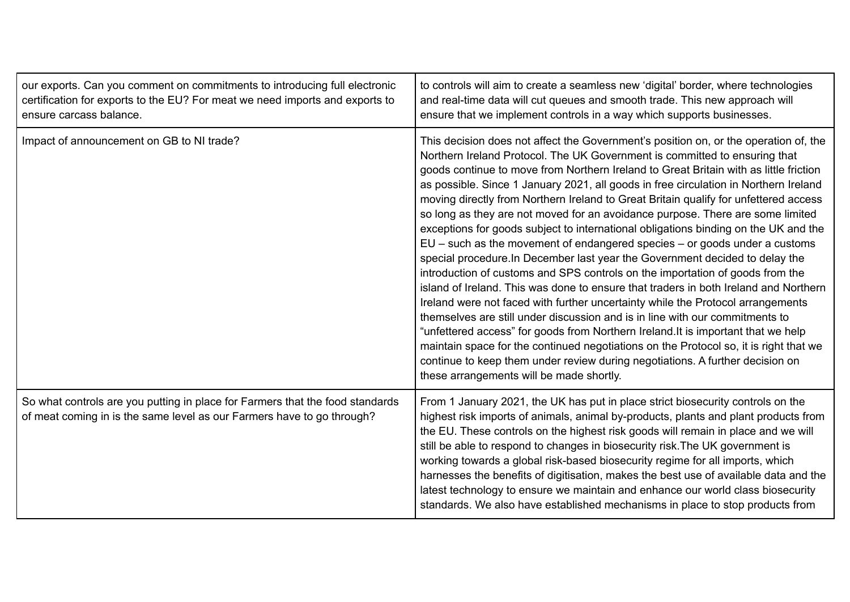| our exports. Can you comment on commitments to introducing full electronic<br>certification for exports to the EU? For meat we need imports and exports to<br>ensure carcass balance. | to controls will aim to create a seamless new 'digital' border, where technologies<br>and real-time data will cut queues and smooth trade. This new approach will<br>ensure that we implement controls in a way which supports businesses.                                                                                                                                                                                                                                                                                                                                                                                                                                                                                                                                                                                                                                                                                                                                                                                                                                                                                                                                                                                                                                                                                                                                                                                                  |
|---------------------------------------------------------------------------------------------------------------------------------------------------------------------------------------|---------------------------------------------------------------------------------------------------------------------------------------------------------------------------------------------------------------------------------------------------------------------------------------------------------------------------------------------------------------------------------------------------------------------------------------------------------------------------------------------------------------------------------------------------------------------------------------------------------------------------------------------------------------------------------------------------------------------------------------------------------------------------------------------------------------------------------------------------------------------------------------------------------------------------------------------------------------------------------------------------------------------------------------------------------------------------------------------------------------------------------------------------------------------------------------------------------------------------------------------------------------------------------------------------------------------------------------------------------------------------------------------------------------------------------------------|
| Impact of announcement on GB to NI trade?                                                                                                                                             | This decision does not affect the Government's position on, or the operation of, the<br>Northern Ireland Protocol. The UK Government is committed to ensuring that<br>goods continue to move from Northern Ireland to Great Britain with as little friction<br>as possible. Since 1 January 2021, all goods in free circulation in Northern Ireland<br>moving directly from Northern Ireland to Great Britain qualify for unfettered access<br>so long as they are not moved for an avoidance purpose. There are some limited<br>exceptions for goods subject to international obligations binding on the UK and the<br>$EU$ – such as the movement of endangered species – or goods under a customs<br>special procedure. In December last year the Government decided to delay the<br>introduction of customs and SPS controls on the importation of goods from the<br>island of Ireland. This was done to ensure that traders in both Ireland and Northern<br>Ireland were not faced with further uncertainty while the Protocol arrangements<br>themselves are still under discussion and is in line with our commitments to<br>"unfettered access" for goods from Northern Ireland. It is important that we help<br>maintain space for the continued negotiations on the Protocol so, it is right that we<br>continue to keep them under review during negotiations. A further decision on<br>these arrangements will be made shortly. |
| So what controls are you putting in place for Farmers that the food standards<br>of meat coming in is the same level as our Farmers have to go through?                               | From 1 January 2021, the UK has put in place strict biosecurity controls on the<br>highest risk imports of animals, animal by-products, plants and plant products from<br>the EU. These controls on the highest risk goods will remain in place and we will<br>still be able to respond to changes in biosecurity risk. The UK government is<br>working towards a global risk-based biosecurity regime for all imports, which<br>harnesses the benefits of digitisation, makes the best use of available data and the<br>latest technology to ensure we maintain and enhance our world class biosecurity<br>standards. We also have established mechanisms in place to stop products from                                                                                                                                                                                                                                                                                                                                                                                                                                                                                                                                                                                                                                                                                                                                                   |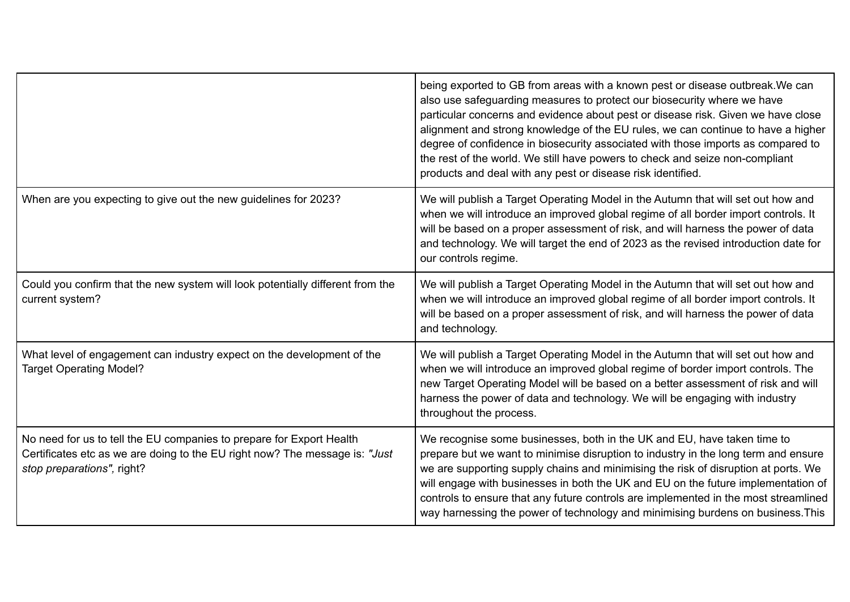|                                                                                                                                                                                   | being exported to GB from areas with a known pest or disease outbreak. We can<br>also use safeguarding measures to protect our biosecurity where we have<br>particular concerns and evidence about pest or disease risk. Given we have close<br>alignment and strong knowledge of the EU rules, we can continue to have a higher<br>degree of confidence in biosecurity associated with those imports as compared to<br>the rest of the world. We still have powers to check and seize non-compliant<br>products and deal with any pest or disease risk identified. |
|-----------------------------------------------------------------------------------------------------------------------------------------------------------------------------------|---------------------------------------------------------------------------------------------------------------------------------------------------------------------------------------------------------------------------------------------------------------------------------------------------------------------------------------------------------------------------------------------------------------------------------------------------------------------------------------------------------------------------------------------------------------------|
| When are you expecting to give out the new guidelines for 2023?                                                                                                                   | We will publish a Target Operating Model in the Autumn that will set out how and<br>when we will introduce an improved global regime of all border import controls. It<br>will be based on a proper assessment of risk, and will harness the power of data<br>and technology. We will target the end of 2023 as the revised introduction date for<br>our controls regime.                                                                                                                                                                                           |
| Could you confirm that the new system will look potentially different from the<br>current system?                                                                                 | We will publish a Target Operating Model in the Autumn that will set out how and<br>when we will introduce an improved global regime of all border import controls. It<br>will be based on a proper assessment of risk, and will harness the power of data<br>and technology.                                                                                                                                                                                                                                                                                       |
| What level of engagement can industry expect on the development of the<br><b>Target Operating Model?</b>                                                                          | We will publish a Target Operating Model in the Autumn that will set out how and<br>when we will introduce an improved global regime of border import controls. The<br>new Target Operating Model will be based on a better assessment of risk and will<br>harness the power of data and technology. We will be engaging with industry<br>throughout the process.                                                                                                                                                                                                   |
| No need for us to tell the EU companies to prepare for Export Health<br>Certificates etc as we are doing to the EU right now? The message is: "Just<br>stop preparations", right? | We recognise some businesses, both in the UK and EU, have taken time to<br>prepare but we want to minimise disruption to industry in the long term and ensure<br>we are supporting supply chains and minimising the risk of disruption at ports. We<br>will engage with businesses in both the UK and EU on the future implementation of<br>controls to ensure that any future controls are implemented in the most streamlined<br>way harnessing the power of technology and minimising burdens on business. This                                                  |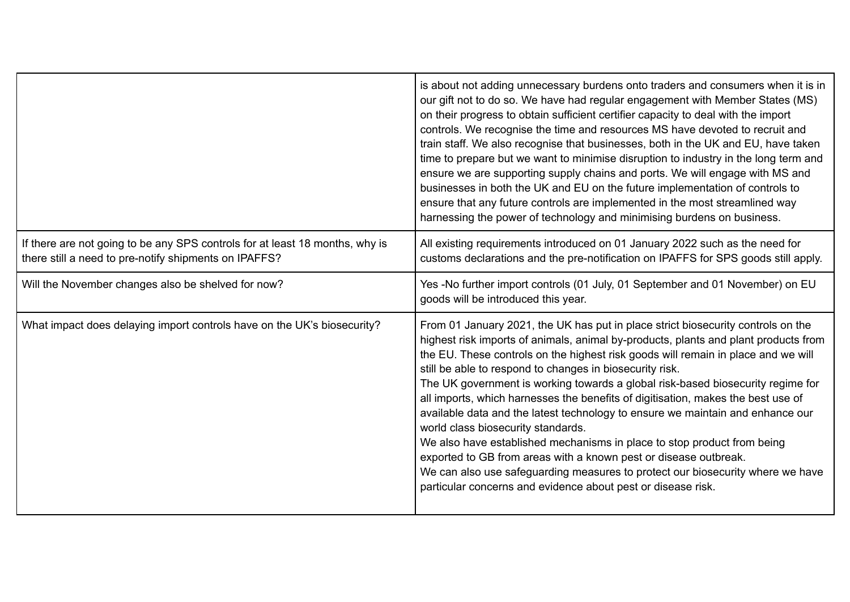|                                                                                                                                       | is about not adding unnecessary burdens onto traders and consumers when it is in<br>our gift not to do so. We have had regular engagement with Member States (MS)<br>on their progress to obtain sufficient certifier capacity to deal with the import<br>controls. We recognise the time and resources MS have devoted to recruit and<br>train staff. We also recognise that businesses, both in the UK and EU, have taken<br>time to prepare but we want to minimise disruption to industry in the long term and<br>ensure we are supporting supply chains and ports. We will engage with MS and<br>businesses in both the UK and EU on the future implementation of controls to<br>ensure that any future controls are implemented in the most streamlined way<br>harnessing the power of technology and minimising burdens on business.                                                                              |
|---------------------------------------------------------------------------------------------------------------------------------------|--------------------------------------------------------------------------------------------------------------------------------------------------------------------------------------------------------------------------------------------------------------------------------------------------------------------------------------------------------------------------------------------------------------------------------------------------------------------------------------------------------------------------------------------------------------------------------------------------------------------------------------------------------------------------------------------------------------------------------------------------------------------------------------------------------------------------------------------------------------------------------------------------------------------------|
| If there are not going to be any SPS controls for at least 18 months, why is<br>there still a need to pre-notify shipments on IPAFFS? | All existing requirements introduced on 01 January 2022 such as the need for<br>customs declarations and the pre-notification on IPAFFS for SPS goods still apply.                                                                                                                                                                                                                                                                                                                                                                                                                                                                                                                                                                                                                                                                                                                                                       |
| Will the November changes also be shelved for now?                                                                                    | Yes -No further import controls (01 July, 01 September and 01 November) on EU<br>goods will be introduced this year.                                                                                                                                                                                                                                                                                                                                                                                                                                                                                                                                                                                                                                                                                                                                                                                                     |
| What impact does delaying import controls have on the UK's biosecurity?                                                               | From 01 January 2021, the UK has put in place strict biosecurity controls on the<br>highest risk imports of animals, animal by-products, plants and plant products from<br>the EU. These controls on the highest risk goods will remain in place and we will<br>still be able to respond to changes in biosecurity risk.<br>The UK government is working towards a global risk-based biosecurity regime for<br>all imports, which harnesses the benefits of digitisation, makes the best use of<br>available data and the latest technology to ensure we maintain and enhance our<br>world class biosecurity standards.<br>We also have established mechanisms in place to stop product from being<br>exported to GB from areas with a known pest or disease outbreak.<br>We can also use safeguarding measures to protect our biosecurity where we have<br>particular concerns and evidence about pest or disease risk. |